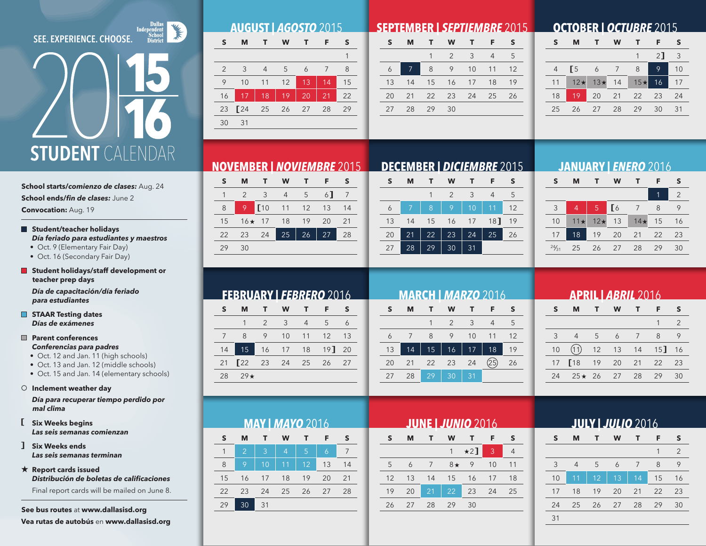### **SEE. EXPERIENCE. CHOOSE.**

# **STUDENT** CALENDAR

### **School starts/***comienzo de clases:* Aug. 24

**School ends/***fin de clases:* June 2

**Convocation:** Aug. 19

### **Student/teacher holidays** *Día feriado para estudiantes y maestros*

• Oct. 9 (Elementary Fair Day)

- Oct. 16 (Secondary Fair Day)
- **Student holidays/staff development or teacher prep days**

*Día de capacitación/día feriado para estudiantes*

**STAAR Testing dates** *Días de exámenes*

### **Parent conferences** *Conferencias para padres*

- Oct. 12 and Jan. 11 (high schools)
- Oct. 13 and Jan. 12 (middle schools)
- Oct. 15 and Jan. 14 (elementary schools)

### **Inclement weather day**

*Día para recuperar tiempo perdido por mal clima*

**Six Weeks begins** *Las seis semanas comienzan*

**Six Weeks ends** *Las seis semanas terminan*

**Report cards issued** *Distribución de boletas de calificaciones*

 Final report cards will be mailed on June 8.

**See bus routes** at **www.dallasisd.org Vea rutas de autobús** en **www.dallasisd.org**

| <b>AUGUST   AGOSTO 2015</b> |  |  |
|-----------------------------|--|--|

| S             | м             | T.             | W  | т. | F  | <sub>S</sub> |
|---------------|---------------|----------------|----|----|----|--------------|
|               |               |                |    |    |    |              |
| $\mathcal{P}$ | $\mathcal{B}$ | $\overline{4}$ | -5 | 6  |    | 8            |
| 9             | 10            | 11             | 12 | 13 | 14 | 15           |
| 16            | 17            | 18             | 19 | 20 | 21 | 22           |
|               | 23 24 25      |                | 26 | 27 | 28 | 29           |
| 30            | -31           |                |    |    |    |              |
|               |               |                |    |    |    |              |

### **SEPTEMBER |** *SEPTIEMBRE* 2015

|    | м  | т. | W             | т.           | F  | S  |
|----|----|----|---------------|--------------|----|----|
|    |    | 1  | $\mathcal{P}$ | $\mathbf{3}$ | 4  | 5  |
| 6  | 7  | 8  | 9             | 10           | 11 | 12 |
| 13 | 14 |    | 15 16 17      |              | 18 | 19 |
| 20 | 21 |    | 22 23         | 24           | 25 | 26 |
| 27 | 28 | 29 | 30            |              |    |    |

### **OCTOBER |** *OCTUBRE* 2015

| S  | м          |       | W  |           | F              | S  |
|----|------------|-------|----|-----------|----------------|----|
|    |            |       |    |           | 2 <sup>1</sup> | 3  |
| 4  | E5         | 6     | 7  | 8         | 9              | 10 |
| 11 | $12 \star$ | $13*$ | 14 | $15\star$ | 16             | 17 |
| 18 | 19         | 20    | 21 | 22        | 23             | 24 |
| 25 | 26         | 27    | 28 | 29        | 30             | 31 |

## **NOVEMBER |** *NOVIEMBRE* 2015 **DECEMBER |** *DICIEMBRE* 2015

| S  | м             | $\top$                   | <b>W</b>       | $\blacksquare$ | √F. | S  |
|----|---------------|--------------------------|----------------|----------------|-----|----|
|    | $\mathcal{P}$ | $\overline{\phantom{a}}$ | $\overline{4}$ | 5 <sup>5</sup> | 6   | 7  |
| 8  | 9             | <b>[10</b>               | 11             | 12             | 13  | 14 |
| 15 |               | $16 \star 17$ 18 19      |                |                | 20  | 21 |
| 22 | 23            | 24                       | 25             | 26             | 27  | 28 |
| 29 | 30            |                          |                |                |     |    |

| S  | м  |    | w             | т  | F      | S  |
|----|----|----|---------------|----|--------|----|
|    |    |    | $\mathcal{P}$ | 3  |        | 5  |
|    |    | 8  | 9             | 10 | 11     | 12 |
| 13 | 14 | 15 | 16            | 17 | $18$ ] | 19 |
| 20 | 21 | 22 | 23            | 24 | 25     | 26 |
| 27 | 28 | 29 | 30            | 31 |        |    |

### **JANUARY |** *ENERO* 2016

| S     | м              |           | W               |           | F  | S              |
|-------|----------------|-----------|-----------------|-----------|----|----------------|
|       |                |           |                 |           | 1  | $\overline{2}$ |
| 3     | $\overline{4}$ | $\bullet$ | $\overline{16}$ | 7         | 8  | 9              |
| 10    | $11 \star$     | $12\star$ | 13              | $14\star$ | 15 | 16             |
| 17    | 18             | 19        | 20              | 21        | 22 | 23             |
| 24/31 | 25             | 26        | 27              | 28        | 29 | 30             |

|    |    |    |                |                 | <b>MARCH   MARZO 2016</b> |    |
|----|----|----|----------------|-----------------|---------------------------|----|
|    | M  |    | W              |                 | F                         |    |
|    |    |    | $\mathfrak{D}$ | 3               | $\overline{4}$            | 5  |
| 6  |    | 8  |                | 10              | 11                        | 12 |
| 13 | 14 | 15 | 16             | 17              | 18                        | 19 |
| 20 | 21 | 22 | 23             | 24              |                           | 26 |
| 27 | 28 | 29 | 30             | $\overline{31}$ |                           |    |

| <b>APRIL   ABRIL</b> 2016 |                |    |                |    |                 |               |  |  |  |  |
|---------------------------|----------------|----|----------------|----|-----------------|---------------|--|--|--|--|
| S                         | м              | т  | W              | т  | F               | S             |  |  |  |  |
|                           |                |    |                |    | 1               | $\mathcal{P}$ |  |  |  |  |
| 3                         | $\overline{4}$ | 5  | $\overline{6}$ | 7  | 8               | 9             |  |  |  |  |
| 10                        | (11)           | 12 | 13             | 14 | 15 <sup>1</sup> | 16            |  |  |  |  |
| 17                        | $\sqrt{18}$    | 19 | 20             | 21 | 22              | 23            |  |  |  |  |
| 24                        | $25 \star 26$  |    | 27             | 28 | 29              | 30            |  |  |  |  |
|                           |                |    |                |    |                 |               |  |  |  |  |

|   | <b>JUNE   JUNIO 2016</b> |  |                         |               |  |                          |  |  |  |  |  |
|---|--------------------------|--|-------------------------|---------------|--|--------------------------|--|--|--|--|--|
| S |                          |  | MT WT F                 |               |  | S                        |  |  |  |  |  |
|   |                          |  |                         | $\star 2$ ] 3 |  | $\overline{\mathcal{L}}$ |  |  |  |  |  |
| 5 | - 6                      |  | 7 8 <del>1</del> 9 10 1 |               |  |                          |  |  |  |  |  |

|                 |             | $1 \times 2$ 3             |  |
|-----------------|-------------|----------------------------|--|
| 5               |             | 6 7 8 <del>x</del> 9 10 11 |  |
|                 |             | 12  13  14  15  16  17  18 |  |
| 19 <sup>7</sup> |             | 20 21 22 23 24 25          |  |
|                 | 26 27 28 29 | 30                         |  |

| <b>JULY   JULIO 2016</b>        |    |    |    |    |    |                |  |  |  |  |
|---------------------------------|----|----|----|----|----|----------------|--|--|--|--|
| S<br>S<br>M<br>F<br>т<br>w<br>т |    |    |    |    |    |                |  |  |  |  |
|                                 |    |    |    |    | 1  | $\overline{2}$ |  |  |  |  |
| 3                               | 4  | 5  | 6  | 7  | 8  | 9              |  |  |  |  |
| 10                              | 11 | 12 | 13 | 14 | 15 | 16             |  |  |  |  |
| 17                              | 18 | 19 | 20 | 21 | 22 | 23             |  |  |  |  |
| 24                              | 25 | 26 | 27 | 28 | 29 | 30             |  |  |  |  |
| 31                              |    |    |    |    |    |                |  |  |  |  |
|                                 |    |    |    |    |    |                |  |  |  |  |

# **FEBRUARY |** *FEBRERO* 2016

|    | м                                                      |                | W    | т.       | F.          |                |
|----|--------------------------------------------------------|----------------|------|----------|-------------|----------------|
|    |                                                        | $\overline{2}$ | $-3$ | $\Delta$ | -5          | $\overline{a}$ |
| 7  | 8                                                      | 9              |      | 10 11 12 |             | -13            |
| 14 | 15                                                     | $\vert$ 16     |      |          | 17 18 19 20 |                |
| 21 | $\begin{bmatrix} 22 & 23 & 24 & 25 & 26 \end{bmatrix}$ |                |      |          |             | - 27           |
| 28 | $79 +$                                                 |                |      |          |             |                |

**MAY |** *MAYO* 2016 **S M T W T F S** 1 2 3 4 5 6 7 8 9 10 11 12 13 14 15 16 17 18 19 20 21 22 23 24 25 26 27 28

29 30 31